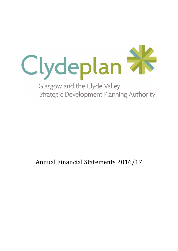

**Strategic Development Planning Authority** 

Annual Financial Statements 2016/17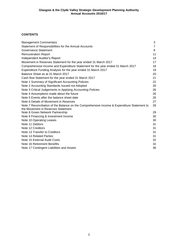## **CONTENTS**

| <b>Management Commentary</b>                                                                                                      | 3  |
|-----------------------------------------------------------------------------------------------------------------------------------|----|
| Statement of Responsibilities for the Annual Accounts                                                                             | 7  |
| Governance Statement                                                                                                              | 8  |
| <b>Remuneration Report</b>                                                                                                        | 11 |
| Independent Auditor's Report                                                                                                      | 14 |
| Movement in Reserves Statement for the year ended 31 March 2017                                                                   | 17 |
| Comprehensive Income and Expenditure Statement for the year ended 31 March 2017                                                   | 18 |
| Expenditure Funding Analysis for the year ended 31 March 2017                                                                     | 19 |
| Balance Sheet as at 31 March 2017                                                                                                 | 20 |
| Cash flow Statement for the year ended 31 March 2017                                                                              | 21 |
| Note 1 Summary of Significant Accounting Policies                                                                                 | 22 |
| Note 2 Accounting Standards Issued not Adopted                                                                                    | 26 |
| Note 3 Critical Judgements in Applying Accounting Policies                                                                        | 26 |
| Note 4 Assumptions made about the future                                                                                          | 26 |
| Note 5 Events after the balance sheet date                                                                                        | 26 |
| Note 6 Details of Movement in Reserves                                                                                            | 27 |
| Note 7 Reconciliation of the Balance on the Comprehensive Income & Expenditure Statement to<br>the Movement in Reserves Statement | 28 |
| Note 8 Green Network Partnership                                                                                                  | 29 |
| Note 9 Financing & Investment Income                                                                                              | 30 |
| Note 10 Operating Leases                                                                                                          | 30 |
| Note 11 Debtors                                                                                                                   | 31 |
| Note 12 Creditors                                                                                                                 | 31 |
| Note 13 Transfer to Creditors                                                                                                     | 31 |
| Note 14 Related Parties                                                                                                           | 31 |
| Note 15 External Audit Costs                                                                                                      | 32 |
| Note 16 Retirement Benefits                                                                                                       | 32 |
| Note 17 Contingent Liabilities and Assets                                                                                         | 36 |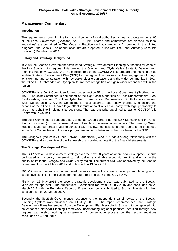# **Management Commentary**

#### **Introduction**

The requirements governing the format and content of local authorities' annual accounts (under s106 of the Local Government (Scotland) Act 1973 joint boards and committees are classed as local authorities) are contained in The Code of Practice on Local Authority Accounting in the United Kingdom ("the Code"). The annual accounts are prepared in line with The Local Authority Accounts (Scotland) Regulations 2014.

#### **History and Statutory Background**

In 2008 the Scottish Government established Strategic Development Planning Authorities for each of the four Scottish city regions. This created the Glasgow and Clyde Valley Strategic Development Planning Authority (GCVSDPA). The principal role of the GCVSDPA is to prepare and maintain an up to date Strategic Development Plan (SDP) for the region. This process involves engagement through joint working and consultation with key stakeholder organisations and the wider community. In 2014 the GCVSDPA rebranded as Clydeplan to improve recognition and gain wider resonance within the region.

GCVSDPA is a Joint Committee formed under section 57 of the Local Government (Scotland) Act 1973. The Joint Committee is comprised of the eight local authorities of East Dunbartonshire, East Renfrewshire, Glasgow City, Inverclyde, North Lanarkshire, Renfrewshire, South Lanarkshire and West Dunbartonshire. A Joint Committee is not a separate legal entity, therefore, to ensure the actions of the GCVSDPA have legal effect it must appoint a 'lead authority' with legal personality to act on its behalf to implement its decisions. The lead authority appointed to act for GCVSDPA is Renfrewshire Council.

The Joint Committee is supported by a Steering Group comprising the SDP Manager and the Chief Planning Officers (or their representatives) of each of the member authorities. The Steering Group meets at least four times a year to consider SDP reviews, consultations and reports to be presented to the Joint Committee and the work programme to be undertaken by the core team for the SDP.

The Glasgow Clyde Valley Green Network Partnership (GCVGNP) has a strong relationship with the GCVSDPA and an overview of the Partnership is provided at note 8 of the financial statements.

#### **The Strategic Development Plan**

The SDP sets out a development strategy over the next 20 years of where new development should be located and a policy framework to help deliver sustainable economic growth and enhance the quality of life in the Glasgow and Clyde Valley region. The current SDP was approved by the Scottish Government on the 29 May 2012 and published on 13 July 2012.

2016/17 saw a number of important developments in respect of strategic development planning which could have significant implications for the future role and work of the GCVSDPA.

Firstly, on 26 May 2016 the second strategic development plan was submitted to the Scottish Ministers for approval. The subsequent Examination ran from 14 July 2016 and concluded on 20 March 2017 with the Reporter's Report of Examination being submitted to Scottish Ministers for their consideration on 20 March 2017.

Secondly, the Scottish Government's response to the independent panel review of the Scottish Planning System was published on 11 July 2016. The report recommended that Strategic Development Plans be removed from the Development Plan hierarchy in Scotland to be replaced with an enhanced National Planning Framework incorporating regional priorities identified through new regional partnership working arrangements. A consultation process on the recommendations concluded on 4 April 2017.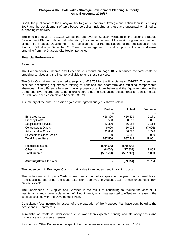Finally the publication of the Glasgow City Region's Economic Strategic and Action Plan in February 2017 and the development of topic based portfolios, including land use and sustainability, aimed at supporting its delivery.

The principle focus for 2017/18 will be the approval by Scottish Ministers of the second Strategic Development Plan and its formal publication, the commencement of the work programme in respect of the third Strategic Development Plan, consideration of the implications of the publication of new Planning Bill, due in December 2017 and the engagement in and support of the work streams emerging from the Glasgow City Region portfolios.

#### **Financial Performance**

#### **Revenue**

The Comprehensive Income and Expenditure Account on page 18 summarises the total costs of providing services and the income available to fund those services.

The Joint Committee has returned a surplus of £29,754 for the financial year 2016/17. This surplus excludes accounting adjustments relating to pensions and short-term accumulating compensated absences. The difference between the employee costs figure below and the figure reported in the Comprehensive Income and Expenditure report is due to accounting adjustments for pension costs £16,000 and accrued employee benefits £3,079.

A summary of the outturn position against the agreed budget is shown below:

|                             | <b>Budget</b> | Actual     | Variance |
|-----------------------------|---------------|------------|----------|
|                             | £             | £          | £        |
| <b>Employee Costs</b>       | 418,800       | 416,629    | 2,171    |
| <b>Property Costs</b>       | 67,500        | 58,669     | 8,831    |
| Supplies and Services       | 43,300        | 36,182     | 7,118    |
| Contractors & Others        | 9,000         | 16,006     | (7,006)  |
| <b>Administrative Costs</b> | 41,800        | 36,022     | 5,778    |
| Payments to Other Bodies    | 7,100         | 4.041      | 3,059    |
| <b>Total Expenditure</b>    | 587.500       | 567.549    | 19,951   |
| <b>Requisition Income</b>   | (579,500)     | (579, 500) |          |
| Other Income                | (8,000)       | (17, 803)  | 9,803    |
| <b>Total Income</b>         | (587, 500)    | (597, 303) | 9,803    |
| (Surplus)/Deficit for Year  |               | (29,754)   | 29,754   |

The underspend in Employee Costs is mainly due to an underspend in training costs.

The underspend in Property Costs is due to renting out office space for the year to an external body. Rent levels agreed under the lease extension, approved in August 2016, remain unchanged from previous levels.

The underspend in Supplies and Services is the result of continuing to reduce the cost of IT maintenance and slower replacement of IT equipment, which has assisted to offset an increase in the costs associated with the Development Plan.

Consultancy fees incurred in respect of the preparation of the Proposed Plan have contributed to the overspend in Contractors.

Administration Costs is underspent due to lower than expected printing and stationery costs and conference and course expenses.

Payments to Other Bodies is underspent due to a decrease in survey expenditure in 16/17.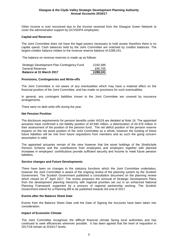Other Income is over recovered due to the income received from the Glasgow Green Network to cover the administration support by GCVSDPA employees.

#### **Capital and Reserves**

The Joint Committee does not have the legal powers necessary to hold assets therefore there is no capital spend. Cash balances held by the Joint Committee are matched by creditor balances. The largest creditor balance relates to the revenue reserve balance of £288,241.

The balance on revenue reserves is made up as follows:

| <b>Balance at 31 March 2017</b>             | £288,241 |
|---------------------------------------------|----------|
| General Reserves                            | £95.755  |
| Strategic Development Plan Contingency Fund | £192.486 |

#### **Provisions, Contingencies and Write-offs**

The Joint Committee is not aware of any eventualities which may have a material effect on the financial position of the Joint Committee, and has made no provisions for such eventualities.

In general, any contingent liabilities known to the Joint Committee are covered by insurance arrangements.

There were no debt write-offs during the year.

#### **Net Pension Position**

The disclosure requirements for pension benefits under IAS19 are detailed at Note 16. The appointed actuaries have confirmed a net liability position of £0.940 million, a deterioration of £0.478 million in their assessment of the position of the pension fund. The net deficit position of the pension reserve impacts on the net asset position of the Joint Committee as a whole, however the funding of these future liabilities will be met from future requisitions from members and as such the going concern assumption is valid.

The appointed actuaries remain of the view however that the asset holdings of the Strathclyde Pension Scheme and the contributions from employees and employers together with planned increases in employers' contributions provide sufficient security and income to meet future pension liabilities.

#### **Service changes and Future Developments**

There have been no changes to the statutory functions which the Joint Committee undertakes, however the Joint Committee is aware of the ongoing review of the planning system by the Scottish Government. The Scottish Government published a consultation document on the planning review which closed on  $4<sup>th</sup>$  April 2017. The review proposes the removal of Strategic Development Plans from the development planning hierarchy with regional priorities set out in an enhanced National Planning Framework supported by a process of regional partnership working. The Scottish Government intend for a Planning Bill to be published towards the end of 2017.

#### **Events after the Balance Sheet Date**

Events from the Balance Sheet Date until the Date of Signing the Accounts have been taken into consideration.

#### **Impact of Economic Climate**

The Joint Committee recognises the difficult financial climate facing local authorities and has continued to seek efficiencies wherever possible. It has been agreed that the level of requisition in 2017/18 remain at 2016/17 levels.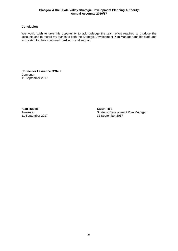### **Conclusion**

We would wish to take this opportunity to acknowledge the team effort required to produce the accounts and to record my thanks to both the Strategic Development Plan Manager and his staff, and to my staff for their continued hard work and support.

**Councillor Lawrence O'Neill** Convenor 11 September 2017

**Alan Russell Stuart Tait** 11 September 2017

Strategic Development Plan Manager<br>11 September 2017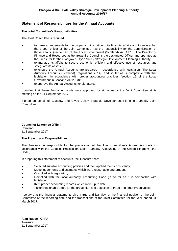# **Statement of Responsibilities for the Annual Accounts**

#### **The Joint Committee's Responsibilities**

The Joint Committee is required:

- 0 to make arrangements for the proper administration of its financial affairs and to secure that the proper officer of the Joint Committee has the responsibility for the administration of those affairs. (section 95 of the Local Government (Scotland) Act 1973). The Director of Finance and Resources at Renfrewshire Council is the designated Officer and operates as the Treasurer for the Glasgow & Clyde Valley Strategic Development Planning Authority;
- 0 to manage its affairs to secure economic, efficient and effective use of resources and safeguard its assets;
- . to ensure the Annual Accounts are prepared in accordance with legislation (The Local Authority Accounts (Scotland) Regulations 2014), and so far as is compatible with that legislation, in accordance with proper accounting practices (section 12 of the Local Government in Scotland Act 2003);
- 0 to approve the Annual Accounts for signature.

I confirm that these Annual Accounts were approved for signature by the Joint Committee at its meeting on the 11 September 2017.

Signed on behalf of Glasgow and Clyde Valley Strategic Development Planning Authority Joint Committee:

**Councillor Lawrence O'Neill** Convenor 11 September 2017

#### **The Treasurer's Responsibilities**

The Treasurer is responsible for the preparation of the Joint Committee's Annual Accounts in accordance with the Code of Practice on Local Authority Accounting in the United Kingdom ('the Code').

In preparing this statement of accounts, the Treasurer has:

- 0 Selected suitable accounting policies and then applied them consistently;
- $\bullet$ Made judgements and estimates which were reasonable and prudent;
- 0 Complied with legislation;
- . Complied with the local authority Accounting Code (in so far as it is compatible with legislation);
- . Kept proper accounting records which were up to date;
- 0 Taken reasonable steps for the prevention and detection of fraud and other irregularities.

I certify that the financial statements give a true and fair view of the financial position of the Joint Committee at the reporting date and the transactions of the Joint Committee for the year ended 31 March 2017.

**Alan Russell CPFA Treasurer** 11 September 2017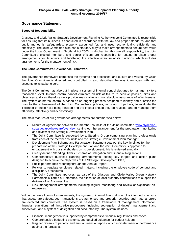# **Governance Statement**

### **Scope of Responsibility**

Glasgow and Clyde Valley Strategic Development Planning Authority's Joint Committee is responsible for ensuring that its business is conducted in accordance with the law and proper standards, and that public money is safeguarded, properly accounted for, and used economically, efficiently and effectively. The Joint Committee also has a statutory duty to make arrangements to secure best value under the Local Government in Scotland Act 2003. In discharging this overall responsibility, the Joint Committee's elected members and senior officers are responsible for putting in place proper arrangements for its affairs and facilitating the effective exercise of its functions, which includes arrangements for the management of risk.

### **The Joint Committee's Governance Framework**

The governance framework comprises the systems and processes, and culture and values, by which the Joint Committee is directed and controlled. It also describes the way it engages with, and accounts to its stakeholders.

The Joint Committee has also put in place a system of internal control designed to manage risk to a reasonable level. Internal control cannot eliminate all risk of failure to achieve policies, aims and objectives and can therefore only provide reasonable and not absolute assurance of effectiveness. The system of internal control is based on an ongoing process designed to identify and prioritise the risks to the achievement of the Joint Committee's policies, aims and objectives, to evaluate the likelihood of those risks being realised and the impact should they be realised, and to manage them efficiently, effectively and economically.

The main features of our governance arrangements are summarised below:

- Minute of Agreement between the member councils of the Joint Committee [www.clydeplan](http://www.clydeplan-sdpa.gov.uk/whoweare/overview)[sdpa.gov.uk/whoweare/overview,](http://www.clydeplan-sdpa.gov.uk/whoweare/overview) setting out the arrangement for the preparation, monitoring and review of the Strategic Development Plan,
- The Joint Committee is supported by a Steering Group comprising planning professionals from each of the member councils and the Strategic Development Plan Manager,
- Development Plan Scheme and Participation Statement sets out the key timelines for the preparation of the Strategic Development Plan and the Joint Committee's approach to engagement with our stakeholders on its development, this is reviewed annually,
- Clearly defined Standing Orders, Scheme of Delegation and Financial Regulations
- Comprehensive business planning arrangements, setting key targets and action plans designed to achieve the objectives of the Strategic Development Plan,
- Public performance reporting through the Annual Report,
- Policies to regulate employee related matters, including the employee code of conduct and disciplinary procedures,
- The Joint Committee approves, as part of the Glasgow and Clyde Valley Green Network Partnership's Terms of Reference, the allocation of local authority contributions to support the delivery of its Business Plan.
- Risk management arrangements including regular monitoring and review of significant risk exposures.

Within the overall control arrangements, the system of internal financial control is intended to ensure that assets are safeguarded, transactions are authorised and properly recorded and material errors are detected and corrected. The system is based on a framework of management information, financial regulations, administrative procedures (including segregation of duties), management and supervision, and a system of delegation and accountability. The system includes:

- Financial management is supported by comprehensive financial regulations and codes,
- Comprehensive budgeting systems, and detailed guidance for budget holders,
- Regular reviews of periodic and annual financial reports which indicate financial performance against the forecasts,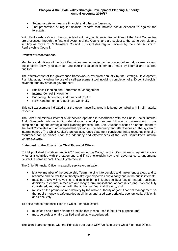- Setting targets to measure financial and other performance,
- The preparation of regular financial reports that indicate actual expenditure against the forecasts.

With Renfrewshire Council being the lead authority, all financial transactions of the Joint Committee are processed through the financial systems of the Council and are subject to the same controls and scrutiny as those of Renfrewshire Council. This includes regular reviews by the Chief Auditor of Renfrewshire Council.

#### **Review of Effectiveness**

Members and officers of the Joint Committee are committed to the concept of sound governance and the effective delivery of services and take into account comments made by internal and external auditors.

The effectiveness of the governance framework is reviewed annually by the Strategic Development Plan Manager, including the use of a self-assessment tool involving completion of a 30 point checklist covering four key areas of governance:

- Business Planning and Performance Management
- Internal Control Environment
- Budgeting, Accounting and Financial Control
- Risk Management and Business Continuity

This self-assessment indicated that the governance framework is being complied with in all material respects.

The Joint Committee's internal audit service operates in accordance with the Public Sector Internal Audit Standards. Internal Audit undertakes an annual programme following an assessment of risk completed during the strategic audit planning process. The Chief Auditor provides an annual report to the Joint Committee and an independent opinion on the adequacy and effectiveness of the system of internal control. The Chief Auditor's annual assurance statement concluded that a reasonable level of assurance can be placed upon the adequacy and effectiveness of the Joint Committee's internal control systems.

#### **Statement on the Role of the Chief Financial Officer**

CIPFA published this statement in 2016 and under the Code, the Joint Committee is required to state whether it complies with the statement, and if not, to explain how their governance arrangements deliver the same impact. The full statement is:

The Chief Financial Officer in a public service organisation:

- is a key member of the Leadership Team, helping it to develop and implement strategy and to resource and deliver the authority's strategic objectives sustainably and in the public interest;
- must be actively involved in, and able to bring influence to bear on, all material business decisions to ensure immediate and longer term implications, opportunities and risks are fully considered, and alignment with the authority's financial strategy; and
- must lead the promotion and delivery by the whole authority of good financial management so that public money is safeguarded at all times and used appropriately, economically, efficiently and effectively.

To deliver these responsibilities the Chief Financial Officer:

- must lead and direct a finance function that is resourced to be fit for purpose; and
- must be professionally qualified and suitably experienced.

The Joint Board complies with the Principles set out in CIPFA's Role of the Chief Financial Officer.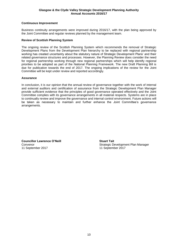#### **Continuous Improvement**

Business continuity arrangements were improved during 2016/17, with the plan being approved by the Joint Committee and regular reviews planned by the management team.

#### **Review of Scottish Planning System**

The ongoing review of the Scottish Planning System which recommends the removal of Strategic Development Plans from the Development Plan hierarchy to be replaced with regional partnership working has created uncertainty about the statutory nature of Strategic Development Plans' and their related governance structures and processes. However, the Planning Review does consider the need for regional partnership working through new regional partnerships which will help identify regional priorities to be adopted as part of the National Planning Framework. The new Draft Planning Bill is due for publication towards the end of 2017. The ongoing implications of the review for the Joint Committee will be kept under review and reported accordingly.

#### **Assurance**

In conclusion, it is our opinion that the annual review of governance together with the work of internal and external auditors and certification of assurance from the Strategic Development Plan Manager provide sufficient evidence that the principles of good governance operated effectively and the Joint Committee complies with its governance arrangements in all material respects. Systems are in place to continually review and improve the governance and internal control environment. Future actions will be taken as necessary to maintain and further enhance the Joint Committee's governance arrangements.

**Councillor Lawrence O'Neill Stuart Tait** 11 September 2017 11 September 2017

Convenor Strategic Development Plan Manager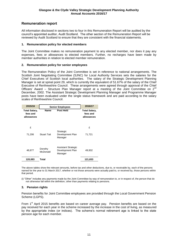# **Remuneration report**

All information disclosed in sections two to four in this Remuneration Report will be audited by the council's appointed auditor, Audit Scotland. The other section of the Remuneration Report will be reviewed by Audit Scotland to ensure that they are consistent with the financial statements.

#### **1. Remuneration policy for elected members**

The Joint Committee makes no remuneration payment to any elected member, nor does it pay any expenses, fees or allowances to elected members. Further, no recharges have been made by member authorities in relation to elected member remuneration.

#### **2. Remuneration policy for senior employees**

The Remuneration Policy of the Joint Committee is set in reference to national arrangements. The Scottish Joint Negotiating Committee (SJNC) for Local Authority Services sets the salaries for the Chief Executives of Scottish local authorities. The salary of the Strategic Development Planning Manager is set at spinal point 29, which is currently the equivalent of 51.67% of the salary of the Chief Executive of Renfrewshire Council. These arrangements were agreed through approval of the Chief Officers' Award – Structure Plan Manager report at a meeting of the Joint Committee on 2<sup>nd</sup> December, 2002. The Assistant Strategic Development Planning Manager and Programme Manager posts have been evaluated under the single status framework and are paid according to the salary scales of Renfrewshire Council.

| 2015/16                                        |                     | <b>Senior Employees</b>                            |                                                |  |
|------------------------------------------------|---------------------|----------------------------------------------------|------------------------------------------------|--|
| <b>Total Salary,</b><br>fees and<br>allowances | Name                | <b>Post Held</b>                                   | <b>Total Salary,</b><br>fees and<br>allowances |  |
| £                                              |                     |                                                    | £                                              |  |
| 71,206                                         | <b>Stuart Tait</b>  | Strategic<br>Development Plan<br>Manager           | 71,721                                         |  |
| 48,877                                         | Dorothy<br>McDonald | Assistant Strategic<br>Development Plan<br>Manager | 49,932                                         |  |
| 120,083                                        | Total               |                                                    | 121,653                                        |  |

The above tables show the relevant amounts, before tax and other deductions, due to, or receivable by, each of the persons named for the year to 31 March 2017, whether or not those amounts were actually paid to, or received by, those persons within that period.

(i) "Other" includes any payments made by the Joint Committee by way of remuneration to, or in respect of, the person that do not otherwise fall within the definition, other than payments relating to pensions.

#### **3. Pension rights**

Pension benefits for Joint Committee employees are provided through the Local Government Pension Scheme (LGPS).

From 1<sup>st</sup> April 2015 benefits are based on career average pay. Pension benefits are based on the pay received for each year in the scheme increased by the increase in the cost of living, as measured by the appropriate index (or indices). The scheme's normal retirement age is linked to the state pension age for each member.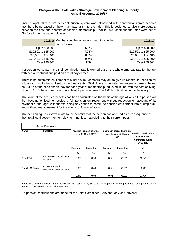From 1 April 2009 a five tier contribution system was introduced with contributions from scheme members being based on how much pay falls into each tier. This is designed to give more equality between the cost and benefits of scheme membership. Prior to 2009 contributions rates were set at 6% for all non manual employees.

|                    | 2015/16 Member contribution rates on earnings in the<br>bands below | 2016/17            |
|--------------------|---------------------------------------------------------------------|--------------------|
| Up to £20,500      | $5.5\%$                                                             | Up to £20,500      |
| £20,501 to £25,000 | 7.25%                                                               | £20,501 to £25,000 |
| £25,001 to £34,400 | 8.5%                                                                | £25,001 to £34,400 |
| £34,401 to £45,800 | 9.5%                                                                | £34,401 to £45,800 |
| Over £45,801       | 12%                                                                 | Over £45,801       |

If a person works part-time their contribution rate is worked out on the whole-time pay rate for the job, with actual contributions paid on actual pay earned.

There is no automatic entitlement to a lump sum. Members may opt to give up (commute) pension for a lump sum up to the limit set by the Finance Act 2004. The accrual rate guarantees a pension based on 1/49th of the pensionable pay for each year of membership, adjusted in line with the cost of living. (Prior to 2015 the accrual rate guaranteed a pension based on 1/60th of final pensionable salary).

The value of the accrued benefits has been calculated on the basis of the age at which the person will first become entitled to receive a full pension on retirement without reduction on account of its payment at that age; without exercising any option to commute pension entitlement into a lump sum; and without any adjustment for the effects of future inflation.

|                    | <b>Senior Employees</b>                                                                                                             |                |                 |                |                 |                                                                                       |
|--------------------|-------------------------------------------------------------------------------------------------------------------------------------|----------------|-----------------|----------------|-----------------|---------------------------------------------------------------------------------------|
| Name               | Post Held<br><b>Accrued Pension benefits</b><br>Change in accrued pension<br>benefits since 31 March<br>as at 31 March 2017<br>2016 |                |                 |                |                 | <b>Pension contributions</b><br>made by Joint<br><b>Committee during</b><br>2016-2017 |
|                    |                                                                                                                                     | <b>Pension</b> | <b>Lump Sum</b> | <b>Pension</b> | <b>Lump Sum</b> | (i)                                                                                   |
|                    |                                                                                                                                     | £m             | £m              | £m             | £m              | £                                                                                     |
| <b>Stuart Tait</b> | Strategic Development Plan<br>Manager                                                                                               | 0.029          | 0.058           | $+0.001$       | $+0.001$        | 13,842                                                                                |
| Dorothy McDonald   | <b>Assistant Strategic</b><br>Development Plan Manager                                                                              | 0.020          | 0.040           | $+0.001$       | $+0.001$        | 9,637                                                                                 |
|                    |                                                                                                                                     | 0.049          | 0.098           | $+0.002$       | $+0.002$        | 23,479                                                                                |

The pension figures shown relate to the benefits that the person has accrued as a consequence of their total local government employment, not just that relating to their current post.

(i) includes any contributions that Glasgow and the Clyde Valley Strategic Development Planning Authority has agreed to pay in respect of the relevant person at a later date

No pension contributions are made for the Joint Committee Convener or Vice Convenor.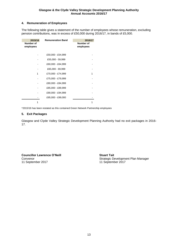## **4. Remuneration of Employees**

The following table gives a statement of the number of employees whose remuneration, excluding pension contributions, was in excess of £50,000 during 2016/17, in bands of £5,000.

| 2015/16<br>Number of<br>employees | <b>Remuneration Band</b> | 2016/17<br>Number of<br>employees |
|-----------------------------------|--------------------------|-----------------------------------|
|                                   | £50,000 - £54,999        |                                   |
|                                   | £55,000 - 59,999         |                                   |
|                                   | £60,000 - £64,999        |                                   |
|                                   | £65,000 - 69,999         |                                   |
| 1                                 | £70,000 - £74,999        | 1                                 |
|                                   | £75,000 - £79,999        |                                   |
|                                   | £80,000 - £84,999        |                                   |
|                                   | £85,000 - £89,999        |                                   |
|                                   | £90,000 - £94,999        |                                   |
|                                   | £95,000 - £99,000        |                                   |
|                                   |                          |                                   |

\*2015/16 has been restated as this contained Green Network Partnership employees

#### **5. Exit Packages**

Glasgow and Clyde Valley Strategic Development Planning Authority had no exit packages in 2016- 17.

**Councillor Lawrence O'Neill Stuart Tait**<br>Convenor Strategic De 11 September 2017

Strategic Development Plan Manager<br>11 September 2017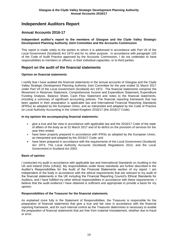# **Independent Auditors Report**

## **Annual Accounts 2016-17**

#### **Independent auditor's report to the members of Glasgow and the Clyde Valley Strategic Development Planning Authority Joint Committee and the Accounts Commission**

This report is made solely to the parties to whom it is addressed in accordance with Part VII of the Local Government (Scotland) Act 1973 and for no other purpose. In accordance with paragraph 120 of the Code of Audit Practice approved by the Accounts Commission, I do not undertake to have responsibilities to members or officers, in their individual capacities, or to third parties.

## **Report on the audit of the financial statements**

#### **Opinion on financial statements**

I certify that I have audited the financial statements in the annual accounts of Glasgow and the Clyde Valley Strategic Development Planning Authority Joint Committee for the year ended 31 March 2017 under Part VII of the Local Government (Scotland) Act 1973. The financial statements comprise the Movement in Reserves Statement, Comprehensive Income and Expenditure Statement, Expenditure Funding Analysis, Balance Sheet, Cash Flow Statement and notes to the financial statements, including a summary of significant accounting policies. The financial reporting framework that has been applied in their preparation is applicable law and International Financial Reporting Standards (IFRSs) as adopted by the European Union, and as interpreted and adapted by the Code of Practice on Local Authority Accounting in the United Kingdom 2016/17 (the 2016/17 Code).

#### **In my opinion the accompanying financial statements:**

- give a true and fair view in accordance with applicable law and the 2016/17 Code of the state of affairs of the body as at 31 March 2017 and of its deficit on the provision of services for the year then ended;
- have been properly prepared in accordance with IFRSs as adopted by the European Union, as interpreted and adapted by the 2016/17 Code; and
- have been prepared in accordance with the requirements of the Local Government (Scotland) Act 1973, The Local Authority Accounts (Scotland) Regulations 2014, and the Local Government in Scotland Act 2003.

#### **Basis of opinion**

I conducted my audit in accordance with applicable law and International Standards on Auditing in the UK and Ireland (ISAs (UK&I)). My responsibilities under those standards are further described in the Auditor's Responsibilities for the Audit of the Financial Statements section of my report. I am independent of the body in accordance with the ethical requirements that are relevant to my audit of the financial statements in the UK including the Financial Reporting Council's Ethical Standards for Auditors, and I have fulfilled my other ethical responsibilities in accordance with these requirements. I believe that the audit evidence I have obtained is sufficient and appropriate to provide a basis for my opinion.

#### **Responsibilities of the Treasurer for the financial statements**

As explained more fully in the Statement of Responsibilities, the Treasurer is responsible for the preparation of financial statements that give a true and fair view in accordance with the financial reporting framework, and for such internal control as the Treasurer determines is necessary to enable the preparation of financial statements that are free from material misstatement, whether due to fraud or error.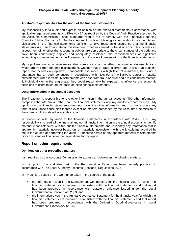#### **Auditor's responsibilities for the audit of the financial statements**

My responsibility is to audit and express an opinion on the financial statements in accordance with applicable legal requirements and ISAs (UK&I) as required by the Code of Audit Practice approved by the Accounts Commission. Those standards require me to comply with the Financial Reporting Council's Ethical Standards for Auditors. An audit involves obtaining evidence about the amounts and disclosures in the financial statements sufficient to give reasonable assurance that the financial statements are free from material misstatement, whether caused by fraud or error. This includes an assessment of: whether the accounting policies are appropriate to the circumstances of the body and have been consistently applied and adequately disclosed; the reasonableness of significant accounting estimates made by the Treasurer; and the overall presentation of the financial statements.

My objectives are to achieve reasonable assurance about whether the financial statements as a whole are free from material misstatement, whether due to fraud or error, and to issue an auditor's report that includes my opinion. Reasonable assurance is a high level of assurance, but is not a guarantee that an audit conducted in accordance with ISAs (UK&I) will always detect a material misstatement when it exists. Misstatements can arise from fraud or error and are considered material if, individually or in the aggregate, they could reasonably be expected to influence the economic decisions of users taken on the basis of these financial statements.

#### **Other information in the annual accounts**

The Treasurer is responsible for the other information in the annual accounts. The other information comprises the information other than the financial statements and my auditor's report thereon. My opinion on the financial statements does not cover the other information and I do not express any form of assurance conclusion thereon except on matters prescribed by the Accounts Commission to the extent explicitly stated later in this report.

In connection with my audit of the financial statements in accordance with ISAs (UK&I), my responsibility is to read all the financial and non-financial information in the annual accounts to identify material inconsistencies with the audited financial statements and to identify any information that is apparently materially incorrect based on, or materially inconsistent with, the knowledge acquired by me in the course of performing the audit. If I become aware of any apparent material misstatements or inconsistencies I consider the implications for my report.

## **Report on other requirements**

#### **Opinions on other prescribed matters**

I am required by the Accounts Commission to express an opinion on the following matters.

In my opinion, the auditable part of the Remuneration Report has been properly prepared in accordance with The Local Authority Accounts (Scotland) Regulations 2014.

In my opinion, based on the work undertaken in the course of the audit

- the information given in the Management Commentary for the financial year for which the financial statements are prepared is consistent with the financial statements and that report has been prepared in accordance with statutory guidance issued under the Local Government in Scotland Act 2003; and
- the information given in the Annual Governance Statement for the financial year for which the financial statements are prepared is consistent with the financial statements and that report has been prepared in accordance with the Delivering Good Governance in Local Government: Framework (2016).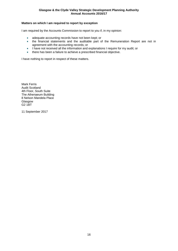### **Matters on which I am required to report by exception**

I am required by the Accounts Commission to report to you if, in my opinion:

- adequate accounting records have not been kept; or
- the financial statements and the auditable part of the Remuneration Report are not in agreement with the accounting records; or
- I have not received all the information and explanations I require for my audit; or
- there has been a failure to achieve a prescribed financial objective.

I have nothing to report in respect of these matters.

Mark Ferris Audit Scotland 4th Floor, South Suite The Athenaeum Building 8 Nelson Mandela Place Glasgow G2 1BT

11 September 2017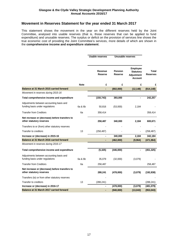## **Movement in Reserves Statement for the year ended 31 March 2017**

This statement shows the movement in the year on the different reserves held by the Joint Committee, analysed into usable reserves (that is, those reserves that can be applied to fund expenditure) and unusable reserves. The surplus or deficit on the provision of services line shows the true economic cost of providing the Joint Committee's services, more details of which are shown in the **comprehensive income and expenditure statement**.

|                                                                             |             | <b>Usable reserves</b>    |                           | Unusable reserves                                                   |                          |
|-----------------------------------------------------------------------------|-------------|---------------------------|---------------------------|---------------------------------------------------------------------|--------------------------|
|                                                                             |             | Revenue<br><b>Reserve</b> | <b>Pension</b><br>Reserve | Employee<br><b>Statutory</b><br><b>Adjustment</b><br><b>Account</b> | Total<br><b>Reserves</b> |
|                                                                             | <b>Note</b> | £                         | £                         | £                                                                   | £                        |
| Balance at 31 March 2015 carried forward                                    |             |                           | (802,000)                 | (12, 148)                                                           | (814, 148)               |
| Movement in reserves during 2015-16                                         |             |                           |                           |                                                                     |                          |
| Total comprehensive income and expenditure                                  |             | (150, 743)                | 393,000                   |                                                                     | 242,257                  |
| Adjustments between accounting basis and<br>funding basis under regulations | 6a & 6b     | 50,816                    | (53,000)                  | 2,184                                                               |                          |
| <b>Transfer from Creditors</b>                                              | 6a          | 358,414                   |                           |                                                                     | 358,414                  |
| Net increase or (decrease) before transfers to<br>other statutory reserves  |             | 258,487                   | 340,000                   | 2,184                                                               | 600,671                  |
| Transfers to or (from) other statutory reserves                             |             |                           |                           |                                                                     |                          |
| Transfer to creditors                                                       | 13          | (258, 487)                |                           |                                                                     | (258, 487)               |
| Increase or (decrease) in 2015-16                                           |             |                           | 340,000                   | 2,184                                                               | 342,184                  |
| Balance at 31 March 2016 carried forward                                    |             | ۰                         | (462,000)                 | (9,964)                                                             | (471, 964)               |
| Movement in reserves during 2016-17                                         |             |                           |                           |                                                                     |                          |
| Total comprehensive income and expenditure                                  |             | (5, 325)                  | (446,000)                 |                                                                     | (451, 325)               |
| Adjustments between accounting basis and<br>funding basis under regulations | 6a & 6b     | 35,079                    | (32,000)                  | (3,079)                                                             |                          |
| <b>Transfer from Creditors</b>                                              | 6a          | 258,487                   |                           |                                                                     | 258,487                  |
| Net increase or (decrease) before transfers to<br>other statutory reserves  |             | 288,241                   | (478,000)                 | (3,079)                                                             | (192, 838)               |
| Transfers (to) or from other statutory reserves                             |             |                           |                           |                                                                     |                          |
| Transfer to creditors                                                       | 13          | (288, 241)                |                           |                                                                     | (288, 241)               |
| Increase or (decrease) in 2016-17                                           |             |                           | (478,000)                 | (3,079)                                                             | (481,079)                |
| Balance at 31 March 2017 carried forward                                    |             |                           | (940,000)                 | (13, 043)                                                           | (953, 043)               |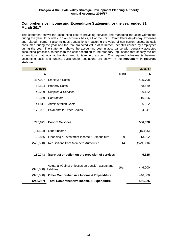## **Comprehensive Income and Expenditure Statement for the year ended 31 March 2017**

This statement shows the accounting cost of providing services and managing the Joint Committee during the year. It includes, on an accruals basis, all of the Joint Committee's day-to-day expenses and related income. It also includes transactions measuring the value of non-current assets actually consumed during the year and the real projected value of retirement benefits earned by employees during the year. The statement shows the accounting cost in accordance with generally accepted accounting practices, rather than the cost according to the statutory regulations that specify the net expenditure that local authorities need to take into account. The required adjustments between accounting basis and funding basis under regulations are shown in the **movement in reserves statement**.

| 2015/16    |                                                                  |             | 2016/17    |
|------------|------------------------------------------------------------------|-------------|------------|
| £          |                                                                  | <b>Note</b> | £          |
| 417,927    | <b>Employee Costs</b>                                            |             | 435,708    |
| 63,524     | <b>Property Costs</b>                                            |             | 58,669     |
| 40,289     | <b>Supplies &amp; Services</b>                                   |             | 36,182     |
| 63,359     | Contractors                                                      |             | 16,006     |
| 41,811     | <b>Administration Costs</b>                                      |             | 36,022     |
| 172,061    | Payments to Other Bodies                                         |             | 4,041      |
|            |                                                                  |             |            |
| 798,971    | <b>Cost of Services</b>                                          |             | 586,628    |
| (91, 584)  | Other Income                                                     |             | (15, 105)  |
| 22,856     | Financing & Investment Income & Expenditure                      | 9           | 13,302     |
| (579, 500) | Requisitions from Members Authorities                            | 14          | (579, 500) |
|            |                                                                  |             |            |
| 150,743    | (Surplus) or deficit on the provision of services                |             | 5,325      |
|            |                                                                  |             |            |
| (393,000)  | Actuarial (Gains) or losses on pension assets and<br>liabilities | 16a         | 446,000    |
| (393,000)  | <b>Other Comprehensive Income &amp; Expenditure</b>              |             | 446,000    |
| (242, 257) | <b>Total Comprehensive Income &amp; Expenditure</b>              |             | 451,325    |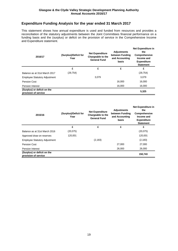# **Expenditure Funding Analysis for the year ended 31 March 2017**

This statement shows how annual expenditure is used and funded from resources and provides a reconciliation of the statutory adjustments between the Joint Committees financial performance on a funding basis and the (surplus) or deficit on the provision of service in the Comprehensive Income and Expenditure statement.

| 2016/17                                             | (Surplus)/Deficit for<br>Year | <b>Net Expenditure</b><br>Chargeable to the<br><b>General Fund</b> | <b>Adjustments</b><br>between Funding<br>and Accounting<br>basis | Net Expenditure in<br>the<br>Comprehensive<br>Income and<br><b>Expenditure</b><br><b>Statement</b> |
|-----------------------------------------------------|-------------------------------|--------------------------------------------------------------------|------------------------------------------------------------------|----------------------------------------------------------------------------------------------------|
|                                                     | £                             | £                                                                  | £                                                                | £                                                                                                  |
| Balance as at 31st March 2017                       | (29, 754)                     |                                                                    |                                                                  | (29, 754)                                                                                          |
| <b>Employee Statutory Adjustment</b>                |                               | 3.079                                                              |                                                                  | 3,079                                                                                              |
| Pension Cost                                        |                               |                                                                    | 16.000                                                           | 16,000                                                                                             |
| <b>Pension Interest</b>                             |                               |                                                                    | 16.000                                                           | 16.000                                                                                             |
| (Surplus) or deficit on the<br>provision of service |                               |                                                                    |                                                                  | 5,325                                                                                              |

| 2015/16                                             | (Surplus)/Deficit for<br>Year | <b>Net Expenditure</b><br>Chargeable to the<br><b>General Fund</b> | <b>Adjustments</b><br>between Funding<br>and Accounting<br>basis | <b>Net Expenditure in</b><br>the<br>Comprehensive<br>Income and<br><b>Expenditure</b><br><b>Statement</b> |
|-----------------------------------------------------|-------------------------------|--------------------------------------------------------------------|------------------------------------------------------------------|-----------------------------------------------------------------------------------------------------------|
|                                                     | £                             | £                                                                  | £                                                                | £                                                                                                         |
| Balance as at 31st March 2016                       | (20, 075)                     |                                                                    |                                                                  | (20,075)                                                                                                  |
| Approved draw on reserves                           | 120.001                       |                                                                    |                                                                  | 120,001                                                                                                   |
| <b>Employee Statutory Adjustment</b>                |                               | (2, 183)                                                           |                                                                  | (2, 183)                                                                                                  |
| <b>Pension Cost</b>                                 |                               |                                                                    | 27,000                                                           | 27,000                                                                                                    |
| <b>Pension Interest</b>                             |                               |                                                                    | 26,000                                                           | 26,000                                                                                                    |
| (Surplus) or deficit on the<br>provision of service |                               |                                                                    |                                                                  | 150,743                                                                                                   |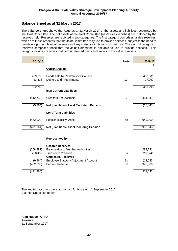## **Balance Sheet as at 31 March 2017**

The **balance sheet** shows the value as at 31 March 2017 of the assets and liabilities recognised by the Joint Committee. The net assets of the Joint Committee (assets less liabilities) are matched by the reserves held. Reserves are reported in two categories. The first category comprises usable reserves, which are those reserves that the Joint Committee may use to provide services, subject to the need to maintain a prudent level of reserves and any statutory limitations on their use. The second category of reserves comprises those that the Joint Committee is not able to use to provide services. This category includes reserves that hold unrealised gains and losses in the value of assets.

| 2015/16               |                                                                                                                           | <b>Note</b>    | 2016/17               |
|-----------------------|---------------------------------------------------------------------------------------------------------------------------|----------------|-----------------------|
| £                     | <b>Current Assets</b>                                                                                                     |                | £                     |
| 479,250<br>23,518     | Funds held by Renfrewshire Council<br>Debtors and Prepayments                                                             | 11             | 433,301<br>17,997     |
| 502,768               | less Current Liabilities                                                                                                  |                | 451,298               |
| (512, 732)            | <b>Creditors And Accruals</b>                                                                                             | 12             | (464, 341)            |
| (9,964)               | <b>Net (Liabilities)/Asset Excluding Pension</b>                                                                          |                | (13,043)              |
|                       | <b>Long Term Liabilities</b>                                                                                              |                |                       |
| (462,000)             | Pension (liability)/Asset                                                                                                 | 6 <sub>b</sub> | (940,000)             |
| (471, 964)            | <b>Net (Liabilities)/Asset Including Pension</b>                                                                          |                | (953, 043)            |
|                       | Represented by:                                                                                                           |                |                       |
| (258, 487)<br>258,487 | <b>Useable Reserves</b><br>Balance due to Member Authorities<br><b>Transfer to Creditors</b><br><b>Unuseable Reserves</b> | 6a             | (288, 241)<br>288,241 |
| (9,964)<br>(462,000)  | <b>Employee Statutory Adjustment Account</b><br>Pension Reserve                                                           | 6c<br>6b       | (13,043)<br>(940,000) |
| (471, 964)            |                                                                                                                           |                | (953, 043)            |

The audited accounts were authorised for issue on 11 September 2017. Balance Sheet signed by:

**Alan Russell CPFA Treasurer** 11 September 2017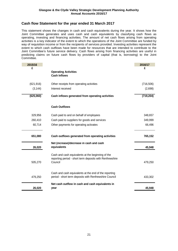## **Cash flow Statement for the year ended 31 March 2017**

This statement shows the changes in cash and cash equivalents during the year. It shows how the Joint Committee generates and uses cash and cash equivalents by classifying cash flows as operating, investing and financing activities. The amount of net cash flows arising from operating activities is a key indicator of the extent to which the operations of the Joint Committee are funded by way of requisition income or from the recipients of services provided. Investing activities represent the extent to which cash outflows have been made for resources that are intended to contribute to the Joint Committee's future service delivery. Cash flows arising from financing activities are useful in predicting claims on future cash flows by providers of capital (that is, borrowing) to the Joint Committee.

| 2015/16    |                                                                                                               | 2016/17    |
|------------|---------------------------------------------------------------------------------------------------------------|------------|
| £          |                                                                                                               | £          |
|            | <b>Operating Activities</b><br><b>Cash Inflows</b>                                                            |            |
|            |                                                                                                               |            |
| (621, 916) | Other receipts from operating activities                                                                      | (716, 506) |
| (3, 144)   | Interest received                                                                                             | (2,698)    |
| (625,060)  | Cash inflows generated from operating activities                                                              | (719, 204) |
|            | <b>Cash Outflows</b>                                                                                          |            |
| 329,956    | Cash paid to and on behalf of employees                                                                       | 348,657    |
| 260,410    | Cash paid to suppliers for goods and services                                                                 | 349,999    |
| 60,714     | Other payments for operating activates                                                                        | 66,496     |
| 651,080    | Cash outflows generated from operating activities                                                             | 765,152    |
| 26,020     | Net (increase)/decrease in cash and cash<br>equivalents                                                       | 45,948     |
|            |                                                                                                               |            |
|            | Cash and cash equivalents at the beginning of the<br>reporting period - short term deposits with Renfrewshire |            |
| 505,270    | Council                                                                                                       | 479,250    |
|            | Cash and cash equivalents at the end of the reporting                                                         |            |
| 479,250    | period - short term deposits with Renfrewshire Council                                                        | 433,302    |
|            | Net cash outflow in cash and cash equivalents in                                                              |            |
| 26,020     | year                                                                                                          | 45,948     |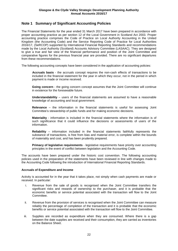# **Note 1 Summary of Significant Accounting Policies**

The Financial Statements for the year ended 31 March 2017 have been prepared in accordance with proper accounting practice as per section 12 of the Local Government in Scotland Act 2003. Proper accounting practice comprises the Code of Practice on Local Authority Accounting in the United Kingdom (the Accounting Code) and the Service Reporting Code of Practice for Local Authorities 2016/17, (SeRCOP) supported by International Financial Reporting Standards and recommendations made by the Local Authority (Scotland) Accounts Advisory Committee (LASAAC). They are designed to give a true and fair view of the financial performance and position of the Joint Committee and comparative figures for the previous financial year are provided. There are no significant departures from these recommendations.

The following accounting concepts have been considered in the application of accounting policies:

**Accruals basis** - the accruals concept requires the non-cash effects of transactions to be included in the financial statement for the year in which they occur, not in the period in which payment is made or income received.

**Going concern** - the going concern concept assumes that the Joint Committee will continue in existence for the foreseeable future.

**Understandability** – users of the financial statements are assumed to have a reasonable knowledge of accounting and local government.

**Relevance** – the information in the financial statements is useful for assessing Joint Committee's stewardship of public funds and for making economic decisions.

**Materiality** - information is included in the financial statements where the information is of such significance that it could influence the decisions or assessments of users of the information.

**Reliability** – information included in the financial statements faithfully represents the substance of transactions, is free from bias and material error, is complete within the bounds of materiality and cost, and has been prudently prepared.

**Primacy of legislative requirements** - legislative requirements have priority over accounting principles in the event of conflict between legislation and the Accounting Code.

The accounts have been prepared under the historic cost convention. The following accounting policies used in the preparation of the statements have been reviewed in line with changes made to the Accounting Code following the introduction of International Financial Reporting Standards.

#### **Accruals of Expenditure and Income**

Activity is accounted for in the year that it takes place, not simply when cash payments are made or received. In particular:

- i. Revenue from the sale of goods is recognised when the Joint Committee transfers the significant risks and rewards of ownership to the purchaser, and it is probable that the economic benefits or service potential associated with the transaction will flow to the Joint Committee.
- ii. Revenue from the provision of services is recognised when the Joint Committee can measure reliably the percentage of completion of the transaction and it is probable that the economic benefits or service potential associated with the transaction will flow to the Joint Committee.
- iii. Supplies are recorded as expenditure when they are consumed. Where there is a gap between the date supplies are received and their consumption, they are carried as inventories on the Balance Sheet.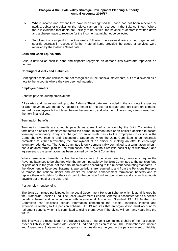- iv. Where income and expenditure have been recognised but cash has not been received or paid, a debtor or creditor for the relevant amount is recorded in the Balance Sheet. Where there is evidence that debts are unlikely to be settled, the balance of debtors is written down and a charge made to revenue for the income that might not be collected.
- v. Suppliers invoices paid in the two weeks following the year-end are accrued together with specific accruals in respect of further material items provided the goods or services were received by the Balance Sheet date.

#### **Cash and Cash Equivalents**

Cash is defined as cash in hand and deposits repayable on demand less overdrafts repayable on demand.

#### **Contingent Assets and Liabilities**

Contingent assets and liabilities are not recognised in the financial statements, but are disclosed as a note to the accounts where they are deemed material.

#### **Employee Benefits**

#### Benefits payable during employment

All salaries and wages earned up to the Balance Sheet date are included in the accounts irrespective of when payment was made. An accrual is made for the cost of holiday and flexi-leave entitlements earned by employees but not taken before the year end; and which employees may carry forward into the next financial year.

#### Termination benefits

Termination benefits are amounts payable as a result of a decision by the Joint Committee to terminate an officer's employment before the normal retirement date or an officer's decision to accept voluntary redundancy. They are charged on an accruals basis to the Employee Costs line in the Comprehensive Income and Expenditure Statement when the Joint Committee is demonstrably committed to either terminating the employment of an officer or making an offer to encourage voluntary redundancy. The Joint Committee is only demonstrably committed to a termination when it has a detailed formal plan for the termination and it is without realistic possibility of withdrawal; and agreement to the termination has been granted by the Joint Committee.

Where termination benefits involve the enhancement of pensions, statutory provisions require the Revenue balances to be charged with the amount payable by the Joint Committee to the pension fund or pensioner in the year, not the amount calculated according to the relevant accounting standards. In the Movement in Reserves Statement, appropriations are required to and from the Pensions Reserve to remove the notional debits and credits for pension enhancement termination benefits and to replace them with debits for the cash paid to the pension fund and pensioners and any such amounts payable but unpaid at the year-end.

#### Post employment benefits

The Joint Committee participates in the Local Government Pension Scheme which is administered by the Strathclyde Pension Fund. The Local Government Pension Scheme is accounted for as a defined benefit scheme, and in accordance with International Accounting Standard 19 (IAS19) the Joint Committee has disclosed certain information concerning the assets, liabilities, income and expenditure relating to the pension scheme. IAS 19 requires that an organisation must account for retirement benefits when it is committed to giving them, even if the giving will be many years into the future.

This involves the recognition in the Balance Sheet of the Joint Committee's share of the net pension asset or liability in the Strathclyde Pension Fund and a pension reserve. The Comprehensive Income and Expenditure Statement also recognises changes during the year in the pension asset or liability.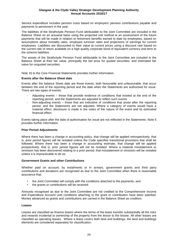Service expenditure includes pension costs based on employers' pension contributions payable and payments to pensioners in the year.

The liabilities of the Strathclyde Pension Fund attributable to the Joint Committee are included in the Balance Sheet on an actuarial basis using the projected unit method ie an assessment of the future payments that will be made in relation to retirement benefits earned to date by employees, based on assumptions about mortality rates, employee turnover rates and projections of earnings for current employees. Liabilities are discounted to their value at current prices using a discount rate based on the current rate of return available on a high quality corporate bond of equivalent currency and term to the scheme liabilities.

The assets of the Strathclyde Pension Fund attributable to the Joint Committee are included in the Balance Sheet at their fair value, principally the bid price for quoted securities, and estimated fair value for unquoted securities.

Note 16 to the Core Financial Statements provides further information.

#### **Events after the Balance Sheet date**

Events after the balance Sheet date are those events, both favourable and unfavourable, that occur between the end of the reporting period and the date when the Statements are authorised for issue. There are two types of events:

- Adjusting events those that provide evidence of conditions that existed at the end of the reporting period, and the Statements are adjusted to reflect such events
- Non-adjusting events those that are indicative of conditions that arose after the reporting period, and the Statements are not adjusted. Where a category of events would have a material effect, disclosure is made in the notes of the nature of the event and its estimated financial effect.

Events taking place after the date of authorisation for issue are not reflected in the Statements. Note 5 provides further information.

#### **Prior Period Adjustments**

Where there has been a change in accounting policy, that change will be applied retrospectively, that is, prior period figures will be restated unless the Code specifies transitional provisions that shall be followed. Where there has been a change in accounting estimate, that change will be applied prospectively, that is, prior period figures will not be restated. Where a material misstatement or omission has been discovered relating to a prior period, that misstatement or omission will be restated unless it is impracticable to do so.

#### **Government Grants and other Contributions**

Whether paid on account, by instalments or in arrears, government grants and third party contributions and donations are recognised as due to the Joint Committee when there is reasonable assurance that:

- the Joint Committee will comply with the conditions attached to the payments, and
- the grants or contributions will be received.

Amounts recognised as due to the Joint Committee are not credited to the Comprehensive Income and Expenditure Account until conditions attaching to the grant or contribution have been satisfied. Monies advanced as grants and contributions are carried in the Balance Sheet as creditors.

#### **Leases**

Leases are classified as finance leases where the terms of the lease transfer substantially all the risks and rewards incidental to ownership of the property from the lessor to the lessee. All other leases are classified as operating leases. Where a lease covers both land and buildings, the land and buildings elements are considered separately for classification.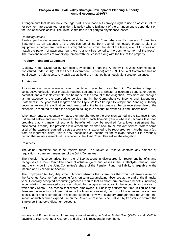Arrangements that do not have the legal status of a lease but convey a right to use an asset in return for payment are accounted for under this policy where fulfilment of the arrangement is dependent on the use of specific assets. The Joint Committee is not party to any finance leases.

#### *Operating Leases*

Rentals paid under operating leases are charged to the Comprehensive Income and Expenditure Statement as an expense of the services benefiting from use of the leased property, plant or equipment. Charges are made on a straight-line basis over the life of the lease, even if this does not match the pattern of payments (eg, there is a rent-free period at the commencement of the lease). The risks and rewards of ownership remain with the lessors along with the title of the property.

#### **Property, Plant and Equipment**

Glasgow & the Clyde Valley Strategic Development Planning Authority is a Joint Committee as constituted under s106(1) of the Local Government (Scotland) Act 1973. The Joint Committee has no legal power to hold assets. Any cash assets held are matched by an equivalent creditor balance.

#### **Provisions**

Provisions are made where an event has taken place that gives the Joint Committee a legal or constructive obligation that probably requires settlement by a transfer of economic benefits or service potential, and a reliable estimate can be made of the amount of the obligation. Provisions are charged as an expense to the appropriate service line in the Comprehensive Income and Expenditure Statement in the year that Glasgow and the Clyde Valley Strategic Development Planning Authority becomes aware of the obligation, and measured at the best estimate at the balance sheet date of the expenditure required to settle the obligation, taking into account relevant risks and uncertainties.

When payments are eventually made, they are charged to the provision carried in the Balance Sheet. Estimated settlements are reviewed at the end of each financial year – where it becomes less than probable that a transfer of economic benefits will now be required (or a lower settlement than anticipated is made), the provision is reversed and credited back to the relevant service. Where some or all of the payment required to settle a provision is expected to be recovered from another party (eg from an insurance claim), this is only recognised as income for the relevant service if it is virtually certain that reimbursement will be received if the Joint Committee settles the obligation.

#### **Reserves**

The Joint Committee has three reserve funds. The Revenue Reserve contains any balance of requisition income from members of the Joint Committee.

The Pension Reserve arises from the IAS19 accounting disclosures for retirement benefits and recognises the Joint Committee share of actuarial gains and losses in the Strathclyde Pension Fund and the change in the Joint Committee's share of the Pension Fund net liability chargeable to the Income and Expenditure Account.

The Employee Statutory Adjustment Account absorbs the differences that would otherwise arise on the Revenue Reserve from accruing for short term accumulating absences at the end of the financial year. Generally accepted accounting practices require that all short-term employee benefits, including accumulating compensated absences, should be recognised as a cost in the accounts for the year to which they relate. This means that where employees' full holiday entitlement, time in lieu or credit flexi-time balance has not been taken by the financial year-end, the cost of the untaken days or time is calculated and recorded as an accrued expense. However, statutory arrangements require that the impact of such accrued expenditure on the Revenue Reserve is neutralised by transfers to or from the Employee Statutory Adjustment Account.

#### **VAT**

Income and Expenditure excludes any amount relating to Value Added Tax (VAT), as all VAT is payable to HM Revenue & Customs and all VAT is recoverable from them.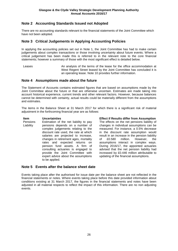# **Note 2 Accounting Standards Issued not Adopted**

There are no accounting standards relevant to the financial statements of the Joint Committee which have not been adopted.

## **Note 3 Critical Judgements in Applying Accounting Policies**

In applying the accounting policies set out in Note 1, the Joint Committee has had to make certain judgements about complex transactions or those involving uncertainty about future events. Where a critical judgement has been made this is referred to in the relevant note to the core financial statements; however a summary of those with the most significant effect is detailed below.

Leases **An analysis of the terms of the lease for the office accommodation at** West Regent Street leased by the Joint Committee has concluded it is an operating lease. Note 10 provides further information.

## **Note 4 Assumptions made about the future**

The Statement of Accounts contains estimated figures that are based on assumptions made by the Joint Committee about the future or that are otherwise uncertain. Estimates are made taking into account historical experience, current trends and other relevant factors. However, because balances cannot be determined with certainty, actual results could be materially different from the assumptions and estimates.

The items in the Balance Sheet at 31 March 2017 for which there is a significant risk of material adjustment in the forthcoming financial year are as follows:

Pensions Liability Estimation of the net liability to pay pensions depends on a number of complex judgements relating to the discount rate used, the rate at which salaries are projected to increase. changes in retirement ages, mortality rates and expected returns on pension fund assets. A firm of consulting actuaries is engaged to provide the Joint Committee with expert advice about the assumptions to be applied.

#### **Item Uncertainties Effect if Results differ from Assumption**

The effects on the net pensions liability of changes in individual assumptions can be measured. For instance, a 0.5% decrease in the discount rate assumption would result in an increase in the pension liability<br>of £0.580 million. However, the of £0.580 million. However, the assumptions interact in complex ways. During 2016/17, the appointed actuaries advised that the net pension liability had increased by £0.446 million attributable to updating of the financial assumptions.

## **Note 5 Events after the balance sheet date**

Events taking place after the authorised for issue date per the balance sheet are not reflected in the financial statements or notes. Where events taking place before this date provided information about conditions existing at 31 March 2017, the figures in the financial statements and notes have been adjusted in all material respects to reflect the impact of this information. There are no non adjusting events.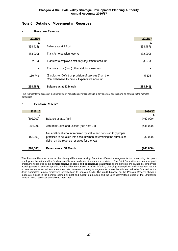## **Note 6 Details of Movement in Reserves**

#### **a. Revenue Reserve**

ı

| 2015/16        |                                                                                                        | 2016/17         |
|----------------|--------------------------------------------------------------------------------------------------------|-----------------|
| £<br>(358,414) | Balance as at 1 April                                                                                  | £<br>(258, 487) |
| (53,000)       | Transfer to pension reserve                                                                            | (32,000)        |
| 2,184          | Transfer to employee statutory adjustment account                                                      | (3,079)         |
|                | Transfers to or (from) other statutory reserves                                                        |                 |
| 150.743        | (Surplus) or Deficit on provision of services (from the<br>Comprehensive Income & Expenditure Account) | 5.325           |
| (258,487)      | <b>Balance as at 31 March</b>                                                                          | (288,241        |

This represents the excess of member authority requisitions over expenditure in any one year and is shown as payable to the member authorities

#### **b. Pension Reserve**

| 2015/16   |                                                                                                                                                                                         | 2016/17   |
|-----------|-----------------------------------------------------------------------------------------------------------------------------------------------------------------------------------------|-----------|
|           |                                                                                                                                                                                         |           |
| (802,000) | Balance as at 1 April                                                                                                                                                                   | (462,000) |
| 393,000   | Actuarial Gains and Losses (see note 16)                                                                                                                                                | (446,000) |
| (53,000)  | Net additional amount required by statue and non-statutory proper<br>practices to be taken into account when determining the surplus or<br>deficit on the revenue reserves for the year | (32,000)  |
| (462,000) | Balance as at 31 March                                                                                                                                                                  | (940,000) |

The Pension Reserve absorbs the timing differences arising from the different arrangements for accounting for postemployment benefits and for funding benefits in accordance with statutory provisions. The Joint Committee accounts for postemployment benefits in the **comprehensive income and expenditure statement** as the benefits are earned by employees accruing years of service, updating the liabilities recognised to reflect inflation, changing assumptions and investment returns on any resources set aside to meet the costs. However, statutory arrangements require benefits earned to be financed as the Joint Committee makes employer's contributions to pension funds. The credit balance on the Pension Reserve shows a moderate excess in the benefits earned by past and current employees and the Joint Committee's share of the Strathclyde Pension Fund resources available to meet them.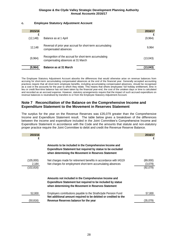## **c. Employee Statutory Adjustment Account**

| 2015/16        |                                                                                             | 2016/17  |
|----------------|---------------------------------------------------------------------------------------------|----------|
| £<br>(12, 148) | Balance as at 1 April                                                                       | (9,964)  |
| 12,148         | Reversal of prior year accrual for short-term accumulating<br>compensated absences          | 9,964    |
| (9,964)        | Recognition of the accrual for short-term accumulating<br>compensating absences at 31 March | (13,043) |
| (9,964)        | <b>Balance as at 31 March</b>                                                               | (13,043) |

The Employee Statutory Adjustment Account absorbs the differences that would otherwise arise on revenue balances from accruing for short-term accumulating compensated absences at the end of the financial year. Generally accepted accounting practices require that all short-term employee benefits, including accumulating compensated absences, should be recognised as a cost in the accounts for the year to which they relate. This means that where employees' full holiday entitlement, time in lieu or credit flexi-time balance has not been taken by the financial year-end, the cost of the untaken days or time is calculated and recorded as an accrued expense. However, statutory arrangements require that the impact of such accrued expenditure on revenue balances is neutralised by transfers to or from the Employee Statutory Adjustment Account.

## **Note 7 Reconciliation of the Balance on the Comprehensive Income and Expenditure Statement to the Movement in Reserves Statement**

The surplus for the year on the Revenue Reserves was £35,079 greater than the Comprehensive Income and Expenditure Statement result. The table below gives a breakdown of the differences between the income and expenditure included in the Joint Committee's Comprehensive Income and Expenditure Statement in accordance with the Code and the amounts that statute and non-statutory proper practice require the Joint Committee to debit and credit the Revenue Reserve Balance.

| 2015/16<br>£                     |                                                                                                                                                                                   | 2016/17<br>£                    |
|----------------------------------|-----------------------------------------------------------------------------------------------------------------------------------------------------------------------------------|---------------------------------|
|                                  | Amounts to be included in the Comprehensive Income and<br>Expenditure Statement but required by statue to be excluded<br>when determining the Movement in Reserves Statement      |                                 |
| (105,000)<br>2,184<br>(102, 816) | Net charges made for retirement benefits in accordance with IAS19<br>Net charges for employment short-term accumulating absences                                                  | (89,000)<br>(3,079)<br>(92,079) |
|                                  | Amounts not included in the Comprehensive Income and<br><b>Expenditure Statement but required to be included by statue</b><br>when determining the Movement in Reserves Statement |                                 |
| 52,000                           | Employers contributions payable to the Strathclyde Pension Fund<br>Net additional amount required to be debited or credited to the                                                | 57,000                          |
| (50,816)                         | Revenue Reserves balance for the year                                                                                                                                             | (35,079)                        |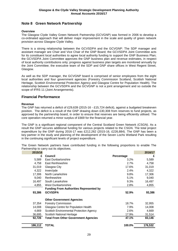# **Note 8 Green Network Partnership**

#### **Overview**

The Glasgow Clyde Valley Green Network Partnership (GCVGNP) was formed in 2006 to develop a co-ordinated approach that will deliver major improvement in the scale and quality of green network provision across Glasgow Clyde Valley.

There is a strong relationship between the GCVSDPA and the GCVGNP: The SDP manager and assistant manager are Chair and Vice Chair of the GNP Board; the GCVSDPA Joint Committee acts for its constituent local authorities to agree local authority funding to support the GNP Business Plan; the GCVSDPA Joint Committee approves the GNP business plan and revenue estimates, in respect of local authority contributions only; progress against business plan targets are monitored annually by the Joint Committee; the executive team of the SDP and GNP share offices in West Regent Street, Glasgow.

As well as the SDP manager, the GCVGNP board is comprised of senior employees from the eight local authorities and four government agencies (Forestry Commission Scotland, Scottish National Heritage, Scottish Environmental Protection Agency and Glasgow Centre for Population Health). The relationship between the GCVSDPA and the GCVGNP is not a joint arrangement and so outside the scope of IFRS 11 (Joint Arrangements).

## **Financial Performance**

#### **Revenue**

The GNP has returned a deficit of £29,639 (2015-16 - £15,724 deficit), against a budgeted breakeven position. The deficit is a result of the GNP drawing down £30,308 from reserves to fund projects, as approved by the partnership board, in order to ensure that reserves are being efficiently utilised. The core operation returned a minor surplus of £669 for the financial year.

The GNP is a significant regional component of the Central Scotland Green Network (CSGN). As a result the GNP secures additional funding for various projects related to the CSGN. The total project expenditure by the GNP during 2016-17 was £212,262 (2015-16, £226,884). The GNP has been a key partner in the study and planning of the development of the Seven Lochs Wetland Park resulting in the continuing significant levels of project expenditure.

The Green Network partners have contributed funding in the following proportions to enable The Partnership to carry out its objectives.

| 2015/16 |                                                |            | 2016/17 |
|---------|------------------------------------------------|------------|---------|
| £       | <b>Council</b>                                 | Percentage | £       |
| 5,589   | East Dunbartonshire                            | $3.2\%$    | 5,589   |
| 4,758   | East Renfrewshire                              | 2.7%       | 4,758   |
| 31,019  | Glasgow City                                   | 17.6%      | 31,019  |
| 4,322   | Inverclyde                                     | 2.4%       | 4,322   |
| 17,306  | North Lanarkshire                              | 9.8%       | 17,306  |
| 9,040   | Renfrewshire                                   | 5.1%       | 9,040   |
| 16,497  | South Lanarkshire                              | 9.3%       | 16,497  |
| 4,855   | <b>West Dunbartonshire</b>                     | 2.8%       | 4,855   |
|         | <b>Funding From Authorities Represented by</b> |            |         |
| 93,386  | <b>GCVSDPA</b>                                 | 52.9%      | 93,386  |
|         | <b>Other Government Agencies</b>               |            |         |
| 37,354  | <b>Forestry Commission</b>                     | 18.7%      | 32,955  |
| 14,008  | Glasgow Centre for Population Health           | 7.9%       | 14,008  |
| 4,669   | Scottish Environmental Protection Agency       | 2.6%       | 4,669   |
| 36,695  | Scottish National Heritage                     | 17.9%      | 31,514  |
| 92,726  | <b>Total From Other Government Agencies</b>    | 47.1%      | 83,146  |
| 186,112 | TOTAL                                          | 100.0%     | 176,532 |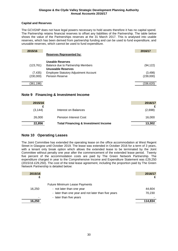### **Capital and Reserves**

The GCVGNP does not have legal powers necessary to hold assets therefore it has no capital spend. The Partnership retains financial reserves to offset any liabilities of the Partnership. The table below shows the value of the Partnerships reserves at the 31 March 2017. This is analysed into usable reserves, which has been derived from partnership funding and can be used to fund expenditure, and unusable reserves, which cannot be used to fund expenditure.

| 2015/16                                                  | 2016/17    |
|----------------------------------------------------------|------------|
| <b>Reserves Represented by:</b>                          |            |
| Useable Reserves                                         |            |
| Balance due to Partnership Members<br>(123, 761)         | (94, 122)  |
| <b>Unuseable Reserves</b>                                |            |
| (7, 435)<br><b>Employee Statutory Adjustment Account</b> | (3, 498)   |
| <b>Pension Reserve</b><br>(230,000)                      | (239,000)  |
|                                                          |            |
| (361,196)                                                | (336, 620) |

## **Note 9 Financing & Investment Income**

| 2015/16  |                                                | 2016/17 |
|----------|------------------------------------------------|---------|
|          |                                                |         |
| (3, 144) | Interest on Balances                           | (2,698) |
| 26,000   | <b>Pension Interest Cost</b>                   | 16,000  |
| 22,856   | <b>Total Financing &amp; Investment Income</b> | 13,302  |

# **Note 10 Operating Leases**

The Joint Committee has extended the operating lease on the office accommodation at West Regent Street in Glasgow until October 2019. The lease was extended in October 2016 for a term of 3 years, with a tenant only break option which allows the extended lease to be terminated by the Joint Committee without penalty one year after the commencement of the extended lease period. Twenty five percent of the accommodation costs are paid by The Green Network Partnership. The expenditure charged in year to the Comprehensive Income and Expenditure Statement was £29,250 (2015/16 £29,250). The cost of the total lease agreement, including the proportion paid by The Green Network Partnership is detailed below:

| 2015/16 |                                                     | 2016/17 |
|---------|-----------------------------------------------------|---------|
|         |                                                     |         |
|         | <b>Future Minimum Lease Payments</b>                |         |
| 16,250  | - not later than one year                           | 44,604  |
|         | - later than one year and not later than five years | 70,230  |
|         | - later than five years                             |         |
| 16,250  |                                                     | 114,834 |
|         |                                                     |         |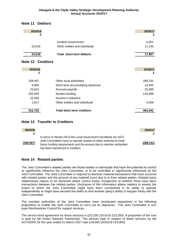# **Note 11 Debtors**

| 2015/16<br>£             |                                   | 2016/17<br>£ |
|--------------------------|-----------------------------------|--------------|
|                          | <b>Scottish Government</b>        | 6,851        |
| 23,518                   | Other entities and individuals    | 11,146       |
| 23,518                   | Total short term debtors          | 17,997       |
| <b>Note 12 Creditors</b> |                                   |              |
| 2015/16                  |                                   | 2016/17      |
| £                        |                                   | £            |
| 258,487                  | Other local authorities           | 288,241      |
| 9,964                    | Short term accumulating absences  | 13,043       |
| 23,624                   | Accrued payrolls                  | 25,099       |
| 202,840                  | Studies funding                   | 133,689      |
| 15,000                   | Income in Advance                 |              |
| 2,817                    | Other entities and individuals    | 4,269        |
| 512,732                  | <b>Total short term creditors</b> | 464,341      |

**Note 13 Transfer to Creditors**

| 2015/16    |                                                                                                                                                                                                                                                          | 2016/17    |
|------------|----------------------------------------------------------------------------------------------------------------------------------------------------------------------------------------------------------------------------------------------------------|------------|
|            |                                                                                                                                                                                                                                                          |            |
| (258, 487) | In terms of Section 58 of the Local Government (Scotland) Act 1973,<br>Joint Committees have no specific powers to retain reserves to meet<br>future funding requirements and the amount due to member authorities<br>has been transferred to creditors. | (288, 241) |

# **Note 14 Related parties**

The Joint Committee's related parties are those bodies or individuals that have the potential to control or significantly influence the Joint Committee, or to be controlled or significantly influenced by the Joint Committee. The Joint Committee is required to disclose material transactions that have occurred with related parties and the amount of any material sums due to or from related parties. Related party relationships require to be disclosed where control exists, irrespective of whether there have been transactions between the related parties. Disclosure of this information allows readers to assess the extent to which the Joint Committee might have been constrained in its ability to operate independently or might have secured the ability to limit another party's ability to bargain freely with the Joint Committee.

The member authorities of the Joint Committee have contributed requisitions in the following proportions to enable the Joint Committee to carry out its objectives. The Joint Committee in turn pays Renfrewshire Council for support services.

The service level agreement for these services is £23,200 (2015/16 £23,200). A proportion of the cost is paid by the Green Network Partnership. The amount paid in respect of these services by the GCVSDPA for the year ended 31 March 2017 was £18,900 (2015/16 £18,900).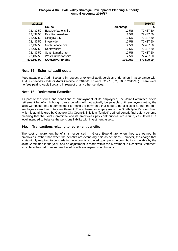| 2015/16    |                        |            | 2016/17    |
|------------|------------------------|------------|------------|
| £          | <b>Council</b>         | Percentage | £          |
| 72,437.50  | East Dunbartonshire    | 12.5%      | 72,437.50  |
| 72,437.50  | East Renfrewshire      | 12.5%      | 72,437.50  |
| 72,437.50  | Glasgow City           | 12.5%      | 72,437.50  |
| 72,437.50  | Inverclyde             | 12.5%      | 72,437.50  |
| 72,437.50  | North Lanarkshire      | 12.5%      | 72,437.50  |
| 72,437.50  | Renfrewshire           | 12.5%      | 72,437.50  |
| 72,437.50  | South Lanarkshire      | 12.5%      | 72,437.50  |
| 72,437.50  | West Dunbartonshire    | 12.5%      | 72,437.50  |
| 579,500.00 | <b>GCVSDPA Funding</b> | 100.00%    | 579,500.00 |

## **Note 15 External audit costs**

Fees payable to Audit Scotland in respect of external audit services undertaken in accordance with Audit Scotland's *Code of Audit Practice* in 2016-2017 were £2,770 (£2,820 in 2015/16). There were no fees paid to Audit Scotland in respect of any other services.

## **Note 16 Retirement Benefits**

As part of the terms and conditions of employment of its employees, the Joint Committee offers retirement benefits. Although these benefits will not actually be payable until employees retire, the Joint Committee has a commitment to make the payments that need to be disclosed at the time that employees earn their future entitlement. The scheme for employees is the Strathclyde Pension Fund which is administered by Glasgow City Council. This is a "funded" defined benefit final salary scheme meaning that the Joint Committee and its employees pay contributions into a fund, calculated at a level intended to balance the pensions liability with investment assets.

#### **16a. Transactions relating to retirement benefits**

The cost of retirement benefits is recognised in Gross Expenditure when they are earned by employees, rather than when the benefits are eventually paid as pensions. However, the charge that is statutorily required to be made in the accounts is based upon pension contributions payable by the Joint Committee in the year, and an adjustment is made within the Movement in Reserves Statement to replace the cost of retirement benefits with employers' contributions.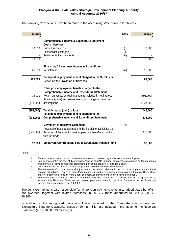The following transactions have been made in the accounting statements in 2016-2017:

| 2015/16   |                                                                                                                                                                                      | <b>Note</b>   | 2016/17   |
|-----------|--------------------------------------------------------------------------------------------------------------------------------------------------------------------------------------|---------------|-----------|
| £         | <b>Comprehensive Income &amp; Expenditure Statement</b><br><b>Cost of Services</b>                                                                                                   |               | £         |
| 79,000    | Current service cost                                                                                                                                                                 | (i)           | 73,000    |
|           | Past service cost/(gain)<br>Settlements & curtailments                                                                                                                               | (ii)<br>(iii) |           |
| 79,000    |                                                                                                                                                                                      |               | 73,000    |
| 26,000    | <b>Financing &amp; Investment Income &amp; Expenditure</b><br>Net interest                                                                                                           | (iv)          | 16,000    |
| 105,000   | Total post employment benefit charged to the Surplus or<br>Deficit on the Provision of Services                                                                                      |               | 89,000    |
|           | Other post employment benefit charged to the                                                                                                                                         |               |           |
| 18,000    | <b>Comprehensive Income and Expenditure Statement</b><br>Return on assets excluding amounts included in net interest<br>Actuarial (gains) and losses arising on changes in financial |               | (591,000) |
| (411,000) | assumptions                                                                                                                                                                          |               | 1,037,000 |
| (393,000) | <b>Total Actuarial (gain) or loss</b>                                                                                                                                                |               | 446,000   |
| (288,000) | Total post employment benefit charged to the<br><b>Comprehensive Income and Expenditure Statement</b>                                                                                |               | 535,000   |
|           | <b>Movement in Reserves Statement</b>                                                                                                                                                | (v)           |           |
| (340,000) | Reversal of net charges made to the Surplus or Deficit for the<br>Provision of Services for post employment benefits according<br>with the Code                                      |               | 478,000   |
| 52,000    | <b>Employers Contributions paid to Strathclyde Pension Fund</b>                                                                                                                      |               | 57,000    |

Notes

i. Current service cost is the cost of future entitlements to pension payments to current employees

ii. Past service cost is the cost of discretionary pension benefits to former employees who retired on the grounds of efficiency etc or savings made for commuting part of the pension for additional cash.

iii. Curtailments are the pension costs to employees retired under redundancy terms.

iv. The net Interest Cost is an actuarial adjustment to the inflation element in the cost of funding current and future pension obligations. This is the expected increase during the year in the present value of the Joint Committee's share of Strathclyde Pension Fund's liabilities because they are one year closer to settlement.

v. The Movement on Pension Reserve represents the net change in the pension liability recognised in the Movement in Reserves Statement for pension payments made by the Joint Committee to the Strathclyde Pension Fund during the year (£32,000).

The Joint Committee is also responsible for all pension payments relating to added years benefits it has awarded, together with related increases. In 2016/17 these amounted to £8,424 (2015/16 £8,365).

In addition to the recognised gains and losses included in the Comprehensive Income and Expenditure Statement, actuarial losses of £0.446 million are included in the Movement in Reserves Statement (2015/16 £0.393 million gain).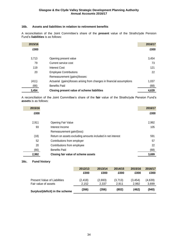#### **16b. Assets and liabilities in relation to retirement benefits**

A reconciliation of the Joint Committee's share of the **present** value of the Strathclyde Pension Fund's **liabilities** is as follows:

| 2015/16 |                                                                        | 2016/17 |
|---------|------------------------------------------------------------------------|---------|
| £000    |                                                                        | £000    |
| 3,713   | Opening present value                                                  | 3,454   |
| 79      | Current service cost                                                   | 73      |
| 119     | <b>Interest Cost</b>                                                   | 121     |
| 20      | <b>Employee Contributions</b>                                          | 22      |
|         | Remeasurement (gains)/losses:                                          |         |
| (411)   | Actuarial (gains)/losses arising from changes in financial assumptions | 1,037   |
| (66)    | <b>Benefits Paid</b>                                                   | (68)    |
| 3,454   | Closing present value of scheme liabilities                            | 4,639   |

A reconciliation of the Joint Committee's share of the **fair** value of the Strathclyde Pension Fund's **assets** is as follows:

| 2015/16 |                                                             | 2016/17 |
|---------|-------------------------------------------------------------|---------|
| £000    |                                                             | £000    |
| 2,911   | Opening Fair Value                                          | 2,992   |
| 93      | Interest Income                                             | 105     |
|         | Remeasurement gain/(loss):                                  |         |
| (18)    | Return on assets excluding amounts included in net interest | 591     |
| 52      | Contributions from employer                                 | 57      |
| 20      | Contributions from employee                                 | 22      |
| (66)    | <b>Benefits Paid</b>                                        | (68)    |
| 2,992   | Closing fair value of scheme assets                         | 3,699   |

#### **16c. Fund history**

|                                                             | 2012/13           | 2013/14          | 2014/15          | 2015/16           | 2016/17          |
|-------------------------------------------------------------|-------------------|------------------|------------------|-------------------|------------------|
|                                                             | £000              | £000             | £000             | £000              | £000             |
| <b>Present Value of Liabilities</b><br>Fair value of assets | (2, 418)<br>2.152 | (2,693)<br>2.337 | (3,713)<br>2.911 | (3, 454)<br>2.992 | (4,639)<br>3,699 |
| Surplus/(deficit) in the scheme                             | (266)             | (356)            | (802)            | (462)             | (940)            |
|                                                             |                   |                  |                  |                   |                  |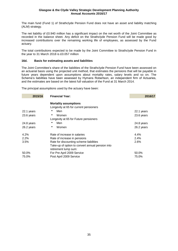The main fund (Fund 1) of Strathclyde Pension Fund does not have an asset and liability matching (ALM) strategy.

The net liability of £0.940 million has a significant impact on the net worth of the Joint Committee as recorded in the balance sheet. Any deficit on the Strathclyde Pension Fund will be made good by increased contributions over the remaining working life of employees, as assessed by the Fund actuary.

The total contributions expected to be made by the Joint Committee to Strathclyde Pension Fund in the year to 31 March 2018 is £0.057 million

#### **16d. Basis for estimating assets and liabilities**

The Joint Committee's share of the liabilities of the Strathclyde Pension Fund have been assessed on an actuarial basis using the projected unit method, that estimates the pensions that will be payable in future years dependent upon assumptions about mortality rates, salary levels and so on. The Scheme's liabilities have been assessed by Hymans Robertson, an independent firm of Actuaries, and the estimates are based on the latest full valuation of the Fund at 31 March 2014.

The principal assumptions used by the actuary have been:

| 2015/16    | <b>Financial Year:</b>                                                   | 2016/17    |
|------------|--------------------------------------------------------------------------|------------|
|            | <b>Mortality assumptions</b><br>Longevity at 65 for current pensioners   |            |
| 22.1 years | Men                                                                      | 22.1 years |
| 23.6 years | Women                                                                    | 23.6 years |
|            | Longevity at 65 for Future pensioners                                    |            |
| 24.8 years | Men                                                                      | 24.8 years |
| 26.2 years | Women<br>٠                                                               | 26.2 years |
| 4.2%       | Rate of increase in salaries                                             | 4.4%       |
| 2.2%       | Rate of increase in pensions                                             | 2.4%       |
| 3.5%       | Rate for discounting scheme liabilities                                  | 2.6%       |
|            | Take-up of option to convert annual pension into<br>retirement lump sum: |            |
| 50.0%      | For Pre April 2009 Service                                               | 50.0%      |
| 75.0%      | Post April 2009 Service                                                  | 75.0%      |